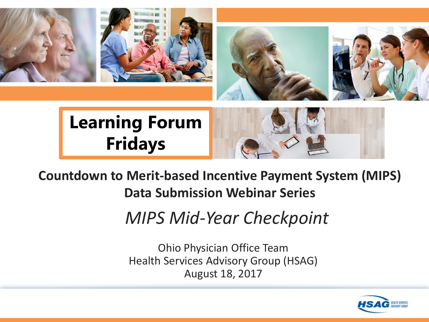

#### **Countdown to Merit-based Incentive Payment System (MIPS) Data Submission Webinar Series**

*MIPS Mid-Year Checkpoint*

Ohio Physician Office Team Health Services Advisory Group (HSAG) August 18, 2017

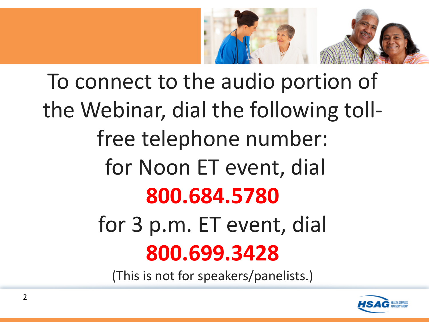

# To connect to the audio portion of the Webinar, dial the following tollfree telephone number: for Noon ET event, dial **800.684.5780** for 3 p.m. ET event, dial **800.699.3428**

(This is not for speakers/panelists.)

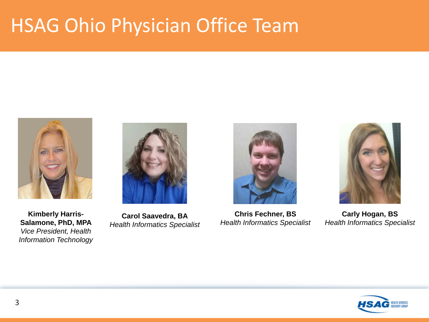### HSAG Ohio Physician Office Team



**Kimberly Harris-Salamone, PhD, MPA** *Vice President, Health Information Technology*



**Carol Saavedra, BA** *Health Informatics Specialist*



**Chris Fechner, BS** *Health Informatics Specialist*



**Carly Hogan, BS** *Health Informatics Specialist*

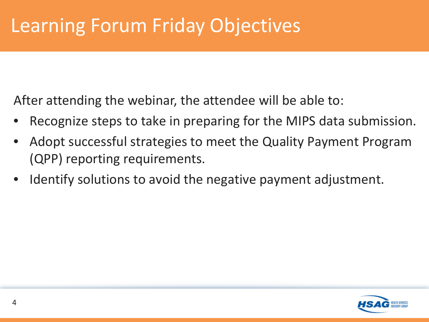After attending the webinar, the attendee will be able to:

- Recognize steps to take in preparing for the MIPS data submission.
- Adopt successful strategies to meet the Quality Payment Program (QPP) reporting requirements.
- Identify solutions to avoid the negative payment adjustment.

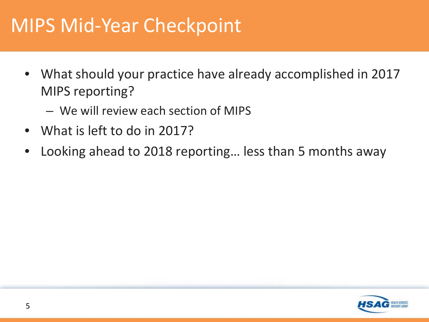#### MIPS Mid-Year Checkpoint

- What should your practice have already accomplished in 2017 MIPS reporting?
	- We will review each section of MIPS
- What is left to do in 2017?
- Looking ahead to 2018 reporting... less than 5 months away

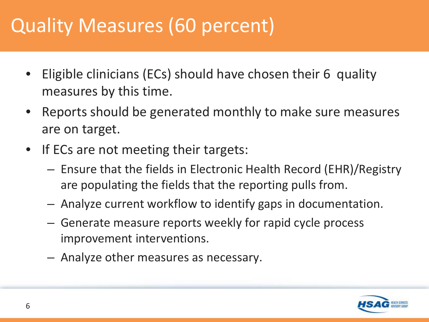# Quality Measures (60 percent)

- Eligible clinicians (ECs) should have chosen their 6 quality measures by this time.
- Reports should be generated monthly to make sure measures are on target.
- If ECs are not meeting their targets:
	- Ensure that the fields in Electronic Health Record (EHR)/Registry are populating the fields that the reporting pulls from.
	- Analyze current workflow to identify gaps in documentation.
	- Generate measure reports weekly for rapid cycle process improvement interventions.
	- Analyze other measures as necessary.

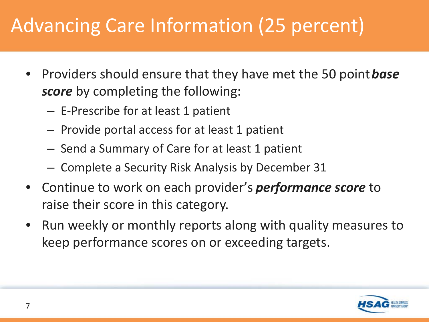# Advancing Care Information (25 percent)

- Providers should ensure that they have met the 50 point *base score* by completing the following:
	- E-Prescribe for at least 1 patient
	- Provide portal access for at least 1 patient
	- Send a Summary of Care for at least 1 patient
	- Complete a Security Risk Analysis by December 31
- Continue to work on each provider's *performance score* to raise their score in this category.
- Run weekly or monthly reports along with quality measures to keep performance scores on or exceeding targets.

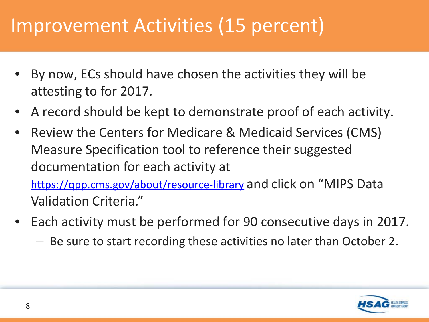#### Improvement Activities (15 percent)

- By now, ECs should have chosen the activities they will be attesting to for 2017.
- A record should be kept to demonstrate proof of each activity.
- Review the Centers for Medicare & Medicaid Services (CMS) Measure Specification tool to reference their suggested documentation for each activity at <https://qpp.cms.gov/about/resource-library> and click on "MIPS Data Validation Criteria."
- Each activity must be performed for 90 consecutive days in 2017.
	- Be sure to start recording these activities no later than October 2.

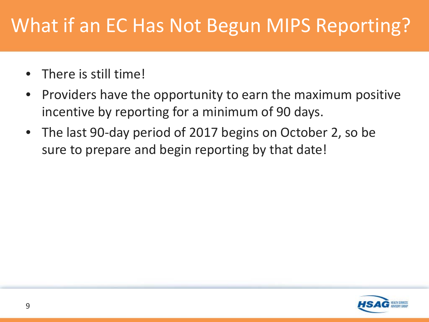# What if an EC Has Not Begun MIPS Reporting?

- There is still time!
- Providers have the opportunity to earn the maximum positive incentive by reporting for a minimum of 90 days.
- The last 90-day period of 2017 begins on October 2, so be sure to prepare and begin reporting by that date!

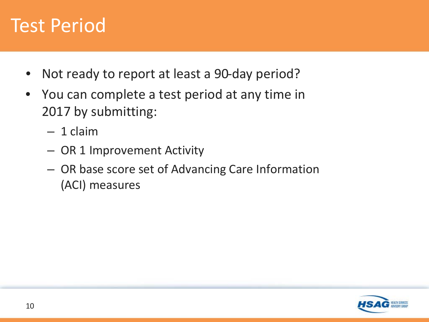#### Test Period

- Not ready to report at least a 90-day period?
- You can complete a test period at any time in 2017 by submitting:
	- 1 claim
	- OR 1 Improvement Activity
	- OR base score set of Advancing Care Information (ACI) measures

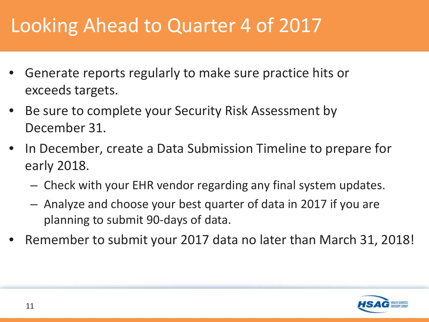# Looking Ahead to Quarter 4 of 2017

- Generate reports regularly to make sure practice hits or exceeds targets.
- Be sure to complete your Security Risk Assessment by December 31.
- In December, create a Data Submission Timeline to prepare for early 2018.
	- Check with your EHR vendor regarding any final system updates.
	- Analyze and choose your best quarter of data in 2017 if you are planning to submit 90-days of data.
- Remember to submit your 2017 data no later than March 31, 2018!

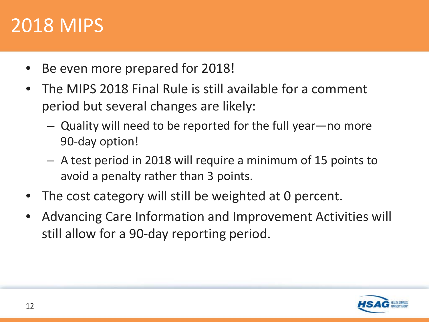#### 2018 MIPS

- Be even more prepared for 2018!
- The MIPS 2018 Final Rule is still available for a comment period but several changes are likely:
	- Quality will need to be reported for the full year—no more 90-day option!
	- A test period in 2018 will require a minimum of 15 points to avoid a penalty rather than 3 points.
- The cost category will still be weighted at 0 percent.
- Advancing Care Information and Improvement Activities will still allow for a 90-day reporting period.

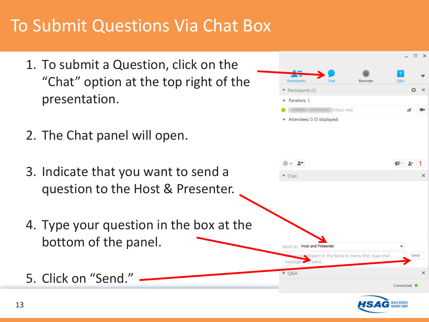#### To Submit Questions Via Chat Box

- 1. To submit a Question, click on the "Chat" option at the top right of the presentation.
- 2. The Chat panel will open.
- 3. Indicate that you want to send a question to the Host & Presenter.
- 4. Type your question in the box at the bottom of the panel.
- 5. Click on "Send."

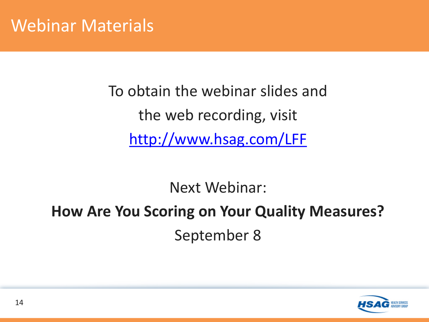To obtain the webinar slides and the web recording, visit <http://www.hsag.com/LFF>

Next Webinar:

#### **How Are You Scoring on Your Quality Measures?** September 8

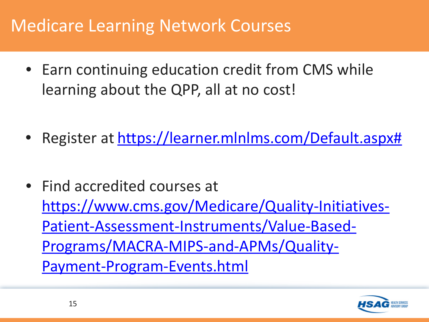#### Medicare Learning Network Courses

- Earn continuing education credit from CMS while learning about the QPP, all at no cost!
- Register at [https://learner.mlnlms.com/Default.aspx#](https://learner.mlnlms.com/Default.aspx)
- Find accredited courses at [https://www.cms.gov/Medicare/Quality-Initiatives-](https://www.cms.gov/Medicare/Quality-Initiatives-Patient-Assessment-Instruments/Value-Based-Programs/MACRA-MIPS-and-APMs/Quality-Payment-Program-Events.html)Patient-Assessment-Instruments/Value-Based-Programs/MACRA-MIPS-and-APMs/Quality-Payment-Program-Events.html

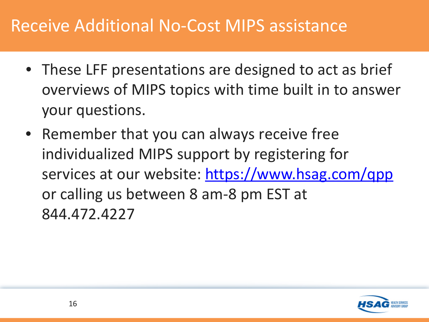#### Receive Additional No-Cost MIPS assistance

- These LFF presentations are designed to act as brief overviews of MIPS topics with time built in to answer your questions.
- Remember that you can always receive free individualized MIPS support by registering for services at our website:<https://www.hsag.com/qpp> or calling us between 8 am-8 pm EST at 844.472.4227